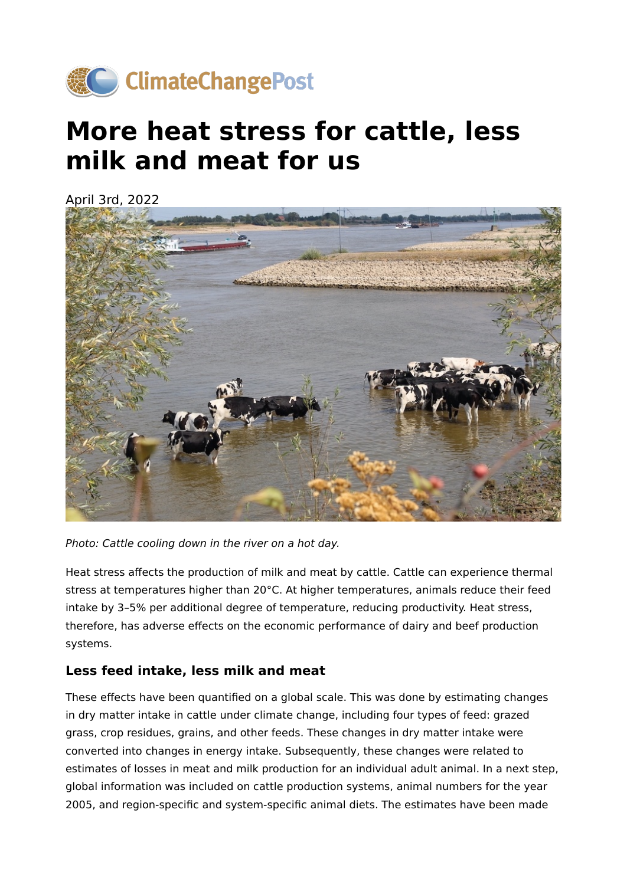

## **More heat stress for cattle, less milk and meat for us**

April 3rd, 2022



Photo: Cattle cooling down in the river on a hot day.

Heat stress affects the production of milk and meat by cattle. Cattle can experience thermal stress at temperatures higher than 20°C. At higher temperatures, animals reduce their feed intake by 3–5% per additional degree of temperature, reducing productivity. Heat stress, therefore, has adverse effects on the economic performance of dairy and beef production systems.

## **Less feed intake, less milk and meat**

These effects have been quantified on a global scale. This was done by estimating changes in dry matter intake in cattle under climate change, including four types of feed: grazed grass, crop residues, grains, and other feeds. These changes in dry matter intake were converted into changes in energy intake. Subsequently, these changes were related to estimates of losses in meat and milk production for an individual adult animal. In a next step, global information was included on cattle production systems, animal numbers for the year 2005, and region-specific and system-specific animal diets. The estimates have been made